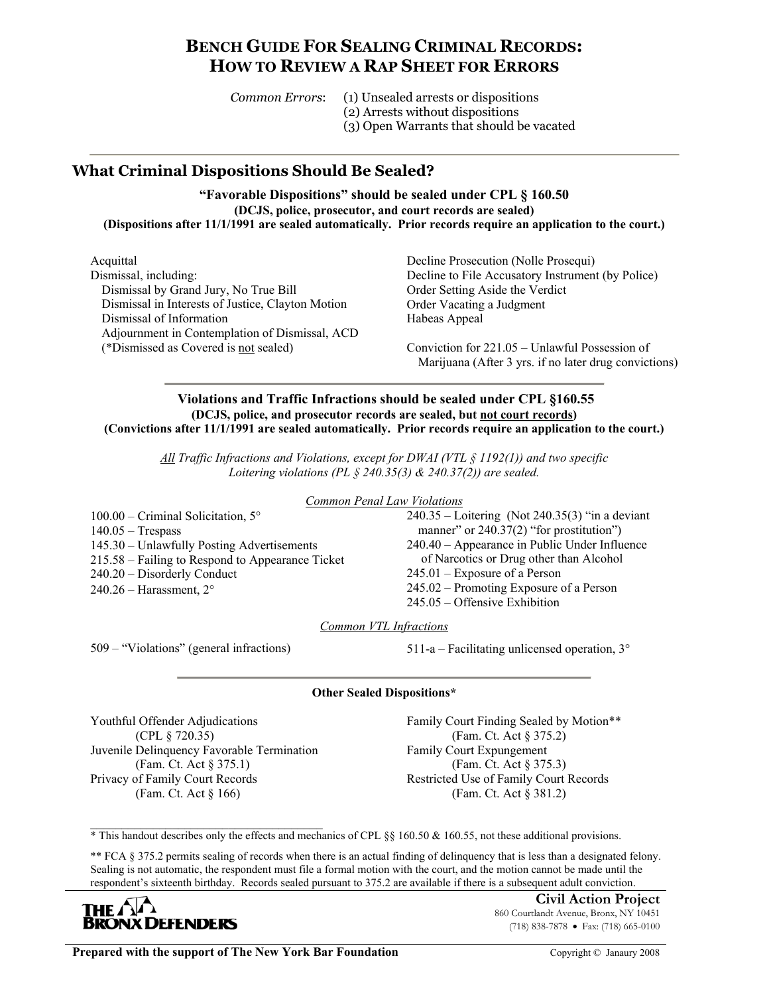# **BENCH GUIDE FOR SEALING CRIMINAL RECORDS: HOW TO REVIEW A RAP SHEET FOR ERRORS**

| Common Errors: | (1) Unsealed arrests or dispositions     |
|----------------|------------------------------------------|
|                | (2) Arrests without dispositions         |
|                | (3) Open Warrants that should be vacated |

## **What Criminal Dispositions Should Be Sealed?**

**"Favorable Dispositions" should be sealed under CPL § 160.50 (DCJS, police, prosecutor, and court records are sealed) (Dispositions after 11/1/1991 are sealed automatically. Prior records require an application to the court.)** 

Acquittal Dismissal, including: Dismissal by Grand Jury, No True Bill Dismissal in Interests of Justice, Clayton Motion Dismissal of Information Adjournment in Contemplation of Dismissal, ACD (\*Dismissed as Covered is not sealed)

Decline Prosecution (Nolle Prosequi) Decline to File Accusatory Instrument (by Police) Order Setting Aside the Verdict Order Vacating a Judgment Habeas Appeal

Conviction for 221.05 – Unlawful Possession of Marijuana (After 3 yrs. if no later drug convictions)

#### **Violations and Traffic Infractions should be sealed under CPL §160.55 (DCJS, police, and prosecutor records are sealed, but not court records) (Convictions after 11/1/1991 are sealed automatically. Prior records require an application to the court.)**

*All Traffic Infractions and Violations, except for DWAI (VTL § 1192(1)) and two specific Loitering violations (PL § 240.35(3) & 240.37(2)) are sealed.* 

*Common Penal Law Violations*

100.00 – Criminal Solicitation, 5° 140.05 – Trespass 145.30 – Unlawfully Posting Advertisements 215.58 – Failing to Respond to Appearance Ticket 240.20 – Disorderly Conduct  $240.26$  – Harassment,  $2^{\circ}$ 

240.35 – Loitering (Not 240.35(3) "in a deviant manner" or 240.37(2) "for prostitution" 240.40 – Appearance in Public Under Influence of Narcotics or Drug other than Alcohol 245.01 – Exposure of a Person 245.02 – Promoting Exposure of a Person 245.05 – Offensive Exhibition

*Common VTL Infractions*

509 – "Violations" (general infractions) 511-a – Facilitating unlicensed operation, 3°

### **Other Sealed Dispositions\***

Youthful Offender Adjudications (CPL § 720.35) Juvenile Delinquency Favorable Termination (Fam. Ct. Act § 375.1) Privacy of Family Court Records (Fam. Ct. Act § 166)

Family Court Finding Sealed by Motion\*\* (Fam. Ct. Act § 375.2) Family Court Expungement (Fam. Ct. Act § 375.3) Restricted Use of Family Court Records (Fam. Ct. Act § 381.2)

\_\_\_\_\_\_\_\_\_\_\_\_\_\_\_\_\_\_\_\_\_\_\_\_\_\_\_\_\_\_\_\_\_\_\_\_\_ \* This handout describes only the effects and mechanics of CPL §§ 160.50 & 160.55, not these additional provisions.

\*\* FCA § 375.2 permits sealing of records when there is an actual finding of delinquency that is less than a designated felony. Sealing is not automatic, the respondent must file a formal motion with the court, and the motion cannot be made until the respondent's sixteenth birthday. Records sealed pursuant to 375.2 are available if there is a subsequent adult conviction.



**Civil Action Project** 860 Courtlandt Avenue, Bronx, NY 10451 (718) 838-7878 • Fax: (718) 665-0100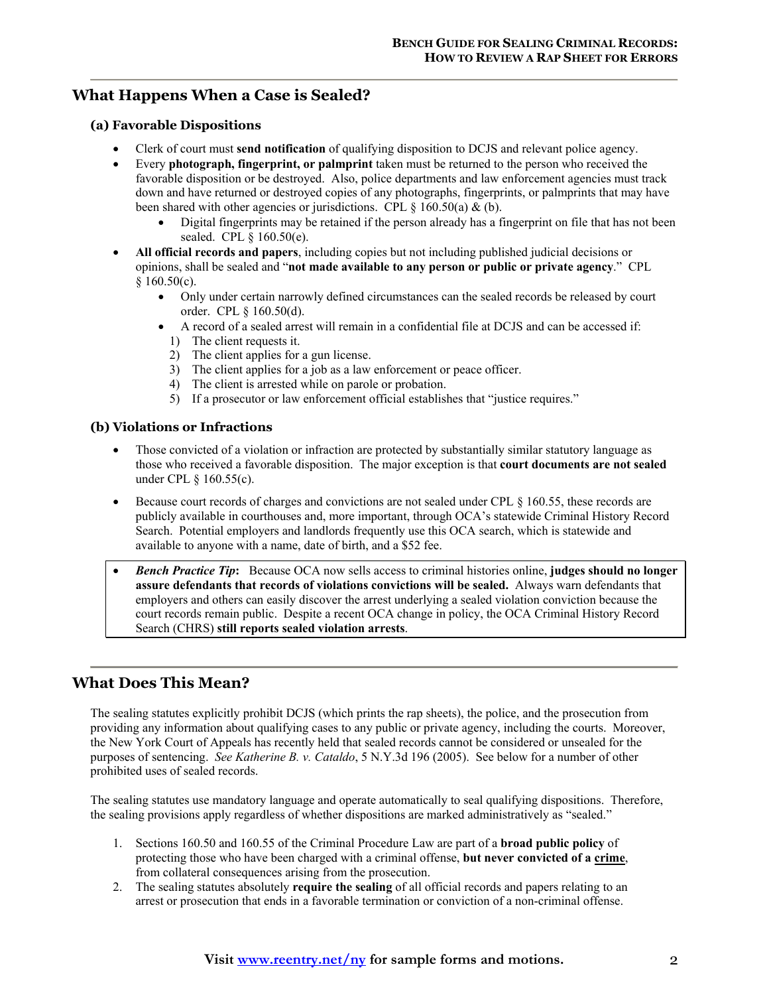## **What Happens When a Case is Sealed?**

### **(a) Favorable Dispositions**

- Clerk of court must **send notification** of qualifying disposition to DCJS and relevant police agency.
- Every **photograph, fingerprint, or palmprint** taken must be returned to the person who received the favorable disposition or be destroyed. Also, police departments and law enforcement agencies must track down and have returned or destroyed copies of any photographs, fingerprints, or palmprints that may have been shared with other agencies or jurisdictions. CPL  $\S$  160.50(a) & (b).
	- Digital fingerprints may be retained if the person already has a fingerprint on file that has not been sealed. CPL § 160.50(e).
- **All official records and papers**, including copies but not including published judicial decisions or opinions, shall be sealed and "**not made available to any person or public or private agency**." CPL  $§$  160.50(c).
	- Only under certain narrowly defined circumstances can the sealed records be released by court order. CPL § 160.50(d).
	- A record of a sealed arrest will remain in a confidential file at DCJS and can be accessed if:
		- 1) The client requests it.
		- 2) The client applies for a gun license.
		- 3) The client applies for a job as a law enforcement or peace officer.
		- 4) The client is arrested while on parole or probation.
		- 5) If a prosecutor or law enforcement official establishes that "justice requires."

#### **(b) Violations or Infractions**

- Those convicted of a violation or infraction are protected by substantially similar statutory language as those who received a favorable disposition. The major exception is that **court documents are not sealed** under CPL § 160.55(c).
- Because court records of charges and convictions are not sealed under CPL § 160.55, these records are publicly available in courthouses and, more important, through OCA's statewide Criminal History Record Search. Potential employers and landlords frequently use this OCA search, which is statewide and available to anyone with a name, date of birth, and a \$52 fee.
- *Bench Practice Tip***:** Because OCA now sells access to criminal histories online, **judges should no longer assure defendants that records of violations convictions will be sealed.** Always warn defendants that employers and others can easily discover the arrest underlying a sealed violation conviction because the court records remain public. Despite a recent OCA change in policy, the OCA Criminal History Record Search (CHRS) **still reports sealed violation arrests**.

## **What Does This Mean?**

The sealing statutes explicitly prohibit DCJS (which prints the rap sheets), the police, and the prosecution from providing any information about qualifying cases to any public or private agency, including the courts. Moreover, the New York Court of Appeals has recently held that sealed records cannot be considered or unsealed for the purposes of sentencing. *See Katherine B. v. Cataldo*, 5 N.Y.3d 196 (2005). See below for a number of other prohibited uses of sealed records.

The sealing statutes use mandatory language and operate automatically to seal qualifying dispositions. Therefore, the sealing provisions apply regardless of whether dispositions are marked administratively as "sealed."

- 1. Sections 160.50 and 160.55 of the Criminal Procedure Law are part of a **broad public policy** of protecting those who have been charged with a criminal offense, **but never convicted of a crime**, from collateral consequences arising from the prosecution.
- 2. The sealing statutes absolutely **require the sealing** of all official records and papers relating to an arrest or prosecution that ends in a favorable termination or conviction of a non-criminal offense.